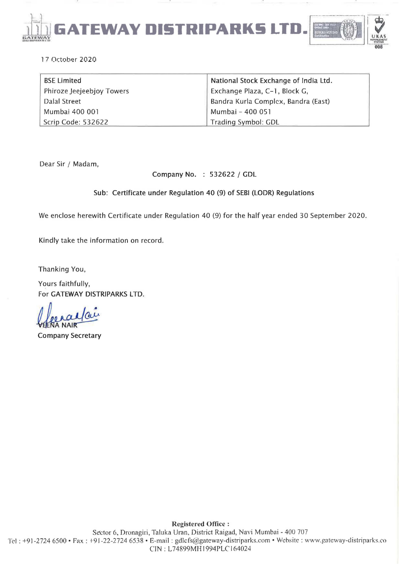

17 Octobp.r 2020

| <b>BSE Limited</b>        | National Stock Exchange of India Ltd. |
|---------------------------|---------------------------------------|
| Phiroze Jeejeebjoy Towers | Exchange Plaza, C-1, Block G,         |
| Dalal Street              | Bandra Kurla Complex, Bandra (East)   |
| Mumbai 400 001            | Mumbai - 400 051                      |
| Scrip Code: 532622        | Trading Symbol: GDL                   |

Dear Sir / Madam,

Company No. : 532622 / GDL

### Sub: Certificate under Regulation 40 (9) of SEBI (LODR) Regulations

We enclose herewith Certificate under Regulation 40 (9) for the half year ended 30 September 2020.

Kindly take the information on record.

Thanking You,

Yours faithfully, For GATEWAY DISTRIPARKS LTD.

Company Secretary